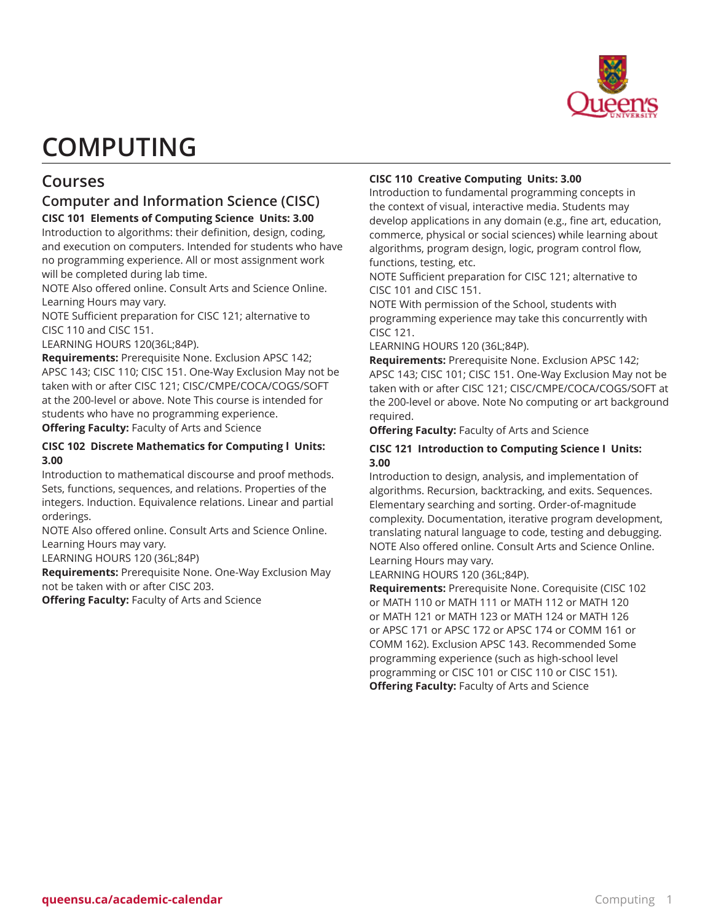

# **COMPUTING**

# **Courses**

# **Computer and Information Science (CISC)**

## **CISC 101 Elements of Computing Science Units: 3.00**

Introduction to algorithms: their definition, design, coding, and execution on computers. Intended for students who have no programming experience. All or most assignment work will be completed during lab time.

NOTE Also offered online. Consult Arts and Science Online. Learning Hours may vary.

NOTE Sufficient preparation for CISC 121; alternative to CISC 110 and CISC 151.

LEARNING HOURS 120(36L;84P).

**Requirements:** Prerequisite None. Exclusion APSC 142; APSC 143; CISC 110; CISC 151. One-Way Exclusion May not be taken with or after CISC 121; CISC/CMPE/COCA/COGS/SOFT at the 200-level or above. Note This course is intended for students who have no programming experience.

**Offering Faculty:** Faculty of Arts and Science

## **CISC 102 Discrete Mathematics for Computing l Units: 3.00**

Introduction to mathematical discourse and proof methods. Sets, functions, sequences, and relations. Properties of the integers. Induction. Equivalence relations. Linear and partial orderings.

NOTE Also offered online. Consult Arts and Science Online. Learning Hours may vary.

LEARNING HOURS 120 (36L;84P)

**Requirements:** Prerequisite None. One-Way Exclusion May not be taken with or after CISC 203.

**Offering Faculty:** Faculty of Arts and Science

## **CISC 110 Creative Computing Units: 3.00**

Introduction to fundamental programming concepts in the context of visual, interactive media. Students may develop applications in any domain (e.g., fine art, education, commerce, physical or social sciences) while learning about algorithms, program design, logic, program control flow, functions, testing, etc.

NOTE Sufficient preparation for CISC 121; alternative to CISC 101 and CISC 151.

NOTE With permission of the School, students with programming experience may take this concurrently with CISC 121.

LEARNING HOURS 120 (36L;84P).

**Requirements:** Prerequisite None. Exclusion APSC 142; APSC 143; CISC 101; CISC 151. One-Way Exclusion May not be taken with or after CISC 121; CISC/CMPE/COCA/COGS/SOFT at the 200-level or above. Note No computing or art background required.

**Offering Faculty:** Faculty of Arts and Science

## **CISC 121 Introduction to Computing Science I Units: 3.00**

Introduction to design, analysis, and implementation of algorithms. Recursion, backtracking, and exits. Sequences. Elementary searching and sorting. Order-of-magnitude complexity. Documentation, iterative program development, translating natural language to code, testing and debugging. NOTE Also offered online. Consult Arts and Science Online. Learning Hours may vary.

LEARNING HOURS 120 (36L;84P).

**Requirements:** Prerequisite None. Corequisite (CISC 102 or MATH 110 or MATH 111 or MATH 112 or MATH 120 or MATH 121 or MATH 123 or MATH 124 or MATH 126 or APSC 171 or APSC 172 or APSC 174 or COMM 161 or COMM 162). Exclusion APSC 143. Recommended Some programming experience (such as high-school level programming or CISC 101 or CISC 110 or CISC 151). **Offering Faculty:** Faculty of Arts and Science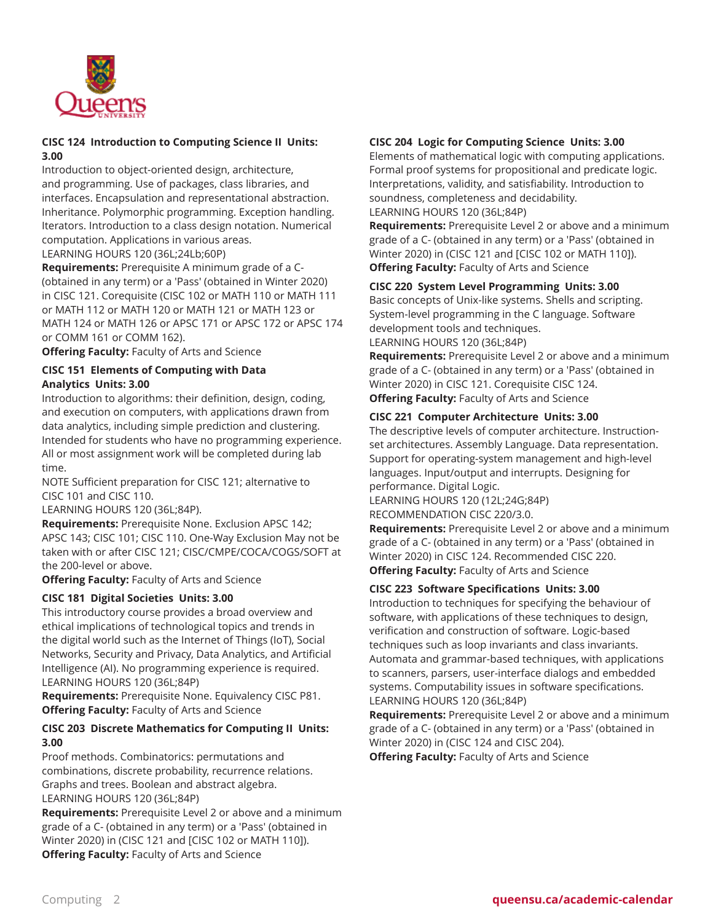

## **CISC 124 Introduction to Computing Science II Units: 3.00**

Introduction to object-oriented design, architecture, and programming. Use of packages, class libraries, and interfaces. Encapsulation and representational abstraction. Inheritance. Polymorphic programming. Exception handling. Iterators. Introduction to a class design notation. Numerical computation. Applications in various areas.

LEARNING HOURS 120 (36L;24Lb;60P)

**Requirements:** Prerequisite A minimum grade of a C- (obtained in any term) or a 'Pass' (obtained in Winter 2020) in CISC 121. Corequisite (CISC 102 or MATH 110 or MATH 111 or MATH 112 or MATH 120 or MATH 121 or MATH 123 or MATH 124 or MATH 126 or APSC 171 or APSC 172 or APSC 174 or COMM 161 or COMM 162).

**Offering Faculty:** Faculty of Arts and Science

## **CISC 151 Elements of Computing with Data Analytics Units: 3.00**

Introduction to algorithms: their definition, design, coding, and execution on computers, with applications drawn from data analytics, including simple prediction and clustering. Intended for students who have no programming experience. All or most assignment work will be completed during lab time.

NOTE Sufficient preparation for CISC 121; alternative to CISC 101 and CISC 110.

LEARNING HOURS 120 (36L;84P).

**Requirements:** Prerequisite None. Exclusion APSC 142; APSC 143; CISC 101; CISC 110. One-Way Exclusion May not be taken with or after CISC 121; CISC/CMPE/COCA/COGS/SOFT at the 200-level or above.

**Offering Faculty:** Faculty of Arts and Science

## **CISC 181 Digital Societies Units: 3.00**

This introductory course provides a broad overview and ethical implications of technological topics and trends in the digital world such as the Internet of Things (IoT), Social Networks, Security and Privacy, Data Analytics, and Artificial Intelligence (AI). No programming experience is required. LEARNING HOURS 120 (36L;84P)

**Requirements:** Prerequisite None. Equivalency CISC P81. **Offering Faculty:** Faculty of Arts and Science

## **CISC 203 Discrete Mathematics for Computing II Units: 3.00**

Proof methods. Combinatorics: permutations and combinations, discrete probability, recurrence relations. Graphs and trees. Boolean and abstract algebra. LEARNING HOURS 120 (36L;84P)

**Requirements:** Prerequisite Level 2 or above and a minimum grade of a C- (obtained in any term) or a 'Pass' (obtained in Winter 2020) in (CISC 121 and [CISC 102 or MATH 110]). **Offering Faculty:** Faculty of Arts and Science

## **CISC 204 Logic for Computing Science Units: 3.00**

Elements of mathematical logic with computing applications. Formal proof systems for propositional and predicate logic. Interpretations, validity, and satisfiability. Introduction to soundness, completeness and decidability. LEARNING HOURS 120 (36L;84P)

**Requirements:** Prerequisite Level 2 or above and a minimum grade of a C- (obtained in any term) or a 'Pass' (obtained in Winter 2020) in (CISC 121 and [CISC 102 or MATH 110]). **Offering Faculty:** Faculty of Arts and Science

**CISC 220 System Level Programming Units: 3.00**

Basic concepts of Unix-like systems. Shells and scripting. System-level programming in the C language. Software development tools and techniques. LEARNING HOURS 120 (36L;84P)

**Requirements:** Prerequisite Level 2 or above and a minimum grade of a C- (obtained in any term) or a 'Pass' (obtained in Winter 2020) in CISC 121. Corequisite CISC 124. **Offering Faculty:** Faculty of Arts and Science

## **CISC 221 Computer Architecture Units: 3.00**

The descriptive levels of computer architecture. Instructionset architectures. Assembly Language. Data representation. Support for operating-system management and high-level languages. Input/output and interrupts. Designing for performance. Digital Logic.

LEARNING HOURS 120 (12L;24G;84P) RECOMMENDATION CISC 220/3.0.

**Requirements:** Prerequisite Level 2 or above and a minimum grade of a C- (obtained in any term) or a 'Pass' (obtained in Winter 2020) in CISC 124. Recommended CISC 220. **Offering Faculty:** Faculty of Arts and Science

## **CISC 223 Software Specifications Units: 3.00**

Introduction to techniques for specifying the behaviour of software, with applications of these techniques to design, verification and construction of software. Logic-based techniques such as loop invariants and class invariants. Automata and grammar-based techniques, with applications to scanners, parsers, user-interface dialogs and embedded systems. Computability issues in software specifications. LEARNING HOURS 120 (36L;84P)

**Requirements:** Prerequisite Level 2 or above and a minimum grade of a C- (obtained in any term) or a 'Pass' (obtained in Winter 2020) in (CISC 124 and CISC 204).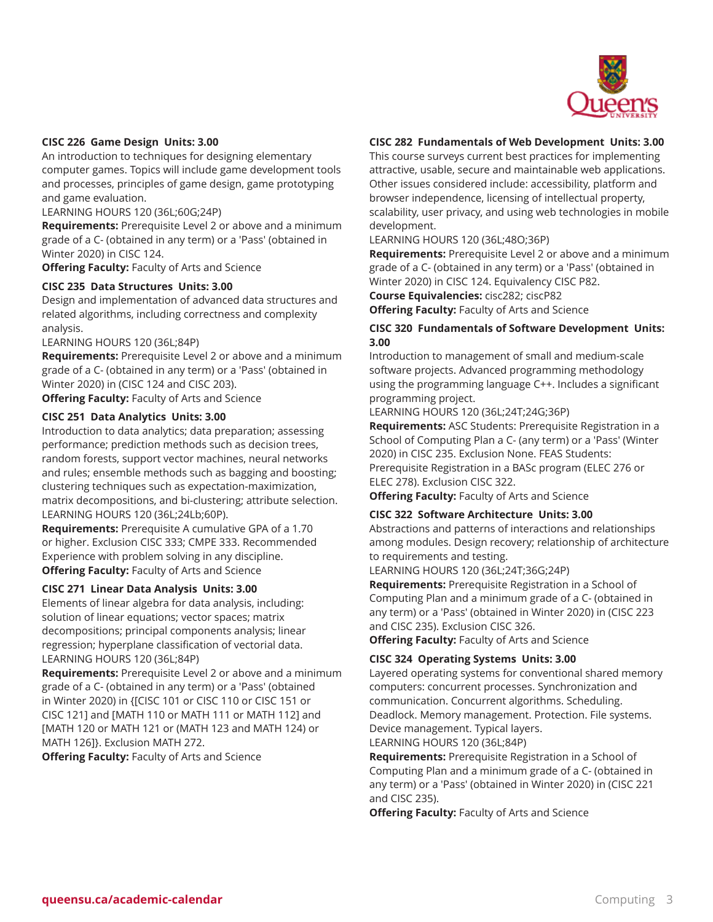

#### **CISC 226 Game Design Units: 3.00**

An introduction to techniques for designing elementary computer games. Topics will include game development tools and processes, principles of game design, game prototyping and game evaluation.

LEARNING HOURS 120 (36L;60G;24P)

**Requirements:** Prerequisite Level 2 or above and a minimum grade of a C- (obtained in any term) or a 'Pass' (obtained in Winter 2020) in CISC 124.

**Offering Faculty:** Faculty of Arts and Science

#### **CISC 235 Data Structures Units: 3.00**

Design and implementation of advanced data structures and related algorithms, including correctness and complexity analysis.

LEARNING HOURS 120 (36L;84P)

**Requirements:** Prerequisite Level 2 or above and a minimum grade of a C- (obtained in any term) or a 'Pass' (obtained in Winter 2020) in (CISC 124 and CISC 203).

**Offering Faculty:** Faculty of Arts and Science

#### **CISC 251 Data Analytics Units: 3.00**

Introduction to data analytics; data preparation; assessing performance; prediction methods such as decision trees, random forests, support vector machines, neural networks and rules; ensemble methods such as bagging and boosting; clustering techniques such as expectation-maximization, matrix decompositions, and bi-clustering; attribute selection. LEARNING HOURS 120 (36L;24Lb;60P).

**Requirements:** Prerequisite A cumulative GPA of a 1.70 or higher. Exclusion CISC 333; CMPE 333. Recommended Experience with problem solving in any discipline. **Offering Faculty:** Faculty of Arts and Science

#### **CISC 271 Linear Data Analysis Units: 3.00**

Elements of linear algebra for data analysis, including: solution of linear equations; vector spaces; matrix decompositions; principal components analysis; linear regression; hyperplane classification of vectorial data. LEARNING HOURS 120 (36L;84P)

**Requirements:** Prerequisite Level 2 or above and a minimum grade of a C- (obtained in any term) or a 'Pass' (obtained in Winter 2020) in {[CISC 101 or CISC 110 or CISC 151 or CISC 121] and [MATH 110 or MATH 111 or MATH 112] and [MATH 120 or MATH 121 or (MATH 123 and MATH 124) or MATH 126]}. Exclusion MATH 272.

**Offering Faculty:** Faculty of Arts and Science

#### **CISC 282 Fundamentals of Web Development Units: 3.00**

This course surveys current best practices for implementing attractive, usable, secure and maintainable web applications. Other issues considered include: accessibility, platform and browser independence, licensing of intellectual property, scalability, user privacy, and using web technologies in mobile development.

#### LEARNING HOURS 120 (36L;48O;36P)

**Requirements:** Prerequisite Level 2 or above and a minimum grade of a C- (obtained in any term) or a 'Pass' (obtained in Winter 2020) in CISC 124. Equivalency CISC P82.

**Course Equivalencies:** cisc282; ciscP82

**Offering Faculty:** Faculty of Arts and Science

#### **CISC 320 Fundamentals of Software Development Units: 3.00**

Introduction to management of small and medium-scale software projects. Advanced programming methodology using the programming language C++. Includes a significant programming project.

LEARNING HOURS 120 (36L;24T;24G;36P)

**Requirements:** ASC Students: Prerequisite Registration in a School of Computing Plan a C- (any term) or a 'Pass' (Winter 2020) in CISC 235. Exclusion None. FEAS Students: Prerequisite Registration in a BASc program (ELEC 276 or ELEC 278). Exclusion CISC 322.

**Offering Faculty:** Faculty of Arts and Science

#### **CISC 322 Software Architecture Units: 3.00**

Abstractions and patterns of interactions and relationships among modules. Design recovery; relationship of architecture to requirements and testing.

LEARNING HOURS 120 (36L;24T;36G;24P)

**Requirements:** Prerequisite Registration in a School of Computing Plan and a minimum grade of a C- (obtained in any term) or a 'Pass' (obtained in Winter 2020) in (CISC 223 and CISC 235). Exclusion CISC 326.

**Offering Faculty:** Faculty of Arts and Science

## **CISC 324 Operating Systems Units: 3.00**

Layered operating systems for conventional shared memory computers: concurrent processes. Synchronization and communication. Concurrent algorithms. Scheduling. Deadlock. Memory management. Protection. File systems. Device management. Typical layers. LEARNING HOURS 120 (36L;84P)

**Requirements:** Prerequisite Registration in a School of Computing Plan and a minimum grade of a C- (obtained in any term) or a 'Pass' (obtained in Winter 2020) in (CISC 221 and CISC 235).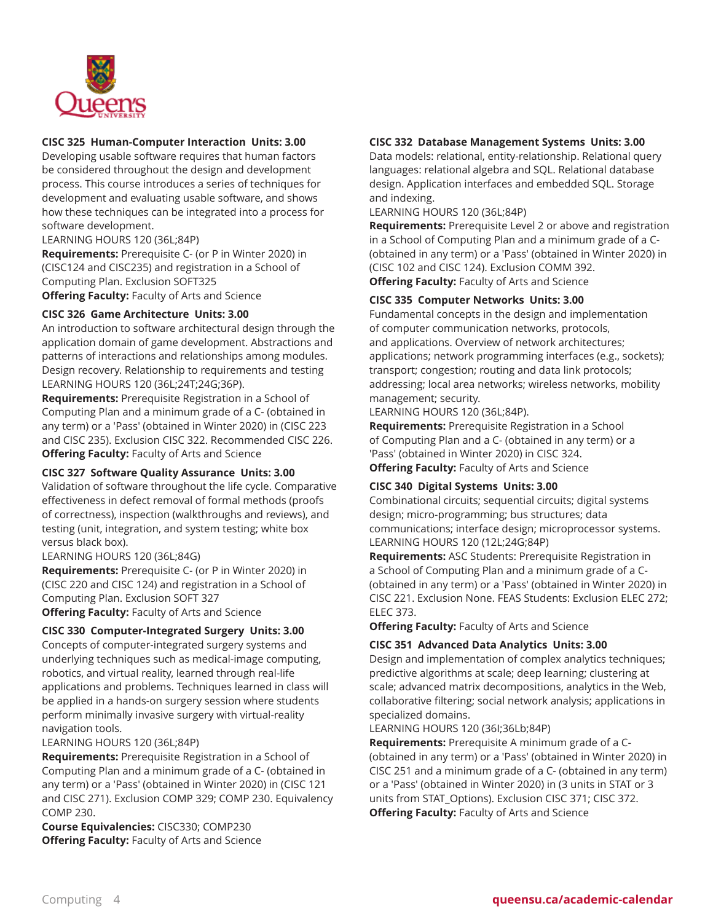

## **CISC 325 Human-Computer Interaction Units: 3.00**

Developing usable software requires that human factors be considered throughout the design and development process. This course introduces a series of techniques for development and evaluating usable software, and shows how these techniques can be integrated into a process for software development.

LEARNING HOURS 120 (36L;84P)

**Requirements:** Prerequisite C- (or P in Winter 2020) in (CISC124 and CISC235) and registration in a School of Computing Plan. Exclusion SOFT325

**Offering Faculty:** Faculty of Arts and Science

## **CISC 326 Game Architecture Units: 3.00**

An introduction to software architectural design through the application domain of game development. Abstractions and patterns of interactions and relationships among modules. Design recovery. Relationship to requirements and testing LEARNING HOURS 120 (36L;24T;24G;36P).

**Requirements:** Prerequisite Registration in a School of Computing Plan and a minimum grade of a C- (obtained in any term) or a 'Pass' (obtained in Winter 2020) in (CISC 223 and CISC 235). Exclusion CISC 322. Recommended CISC 226. **Offering Faculty:** Faculty of Arts and Science

## **CISC 327 Software Quality Assurance Units: 3.00**

Validation of software throughout the life cycle. Comparative effectiveness in defect removal of formal methods (proofs of correctness), inspection (walkthroughs and reviews), and testing (unit, integration, and system testing; white box versus black box).

#### LEARNING HOURS 120 (36L;84G)

**Requirements:** Prerequisite C- (or P in Winter 2020) in (CISC 220 and CISC 124) and registration in a School of Computing Plan. Exclusion SOFT 327

**Offering Faculty:** Faculty of Arts and Science

## **CISC 330 Computer-Integrated Surgery Units: 3.00**

Concepts of computer-integrated surgery systems and underlying techniques such as medical-image computing, robotics, and virtual reality, learned through real-life applications and problems. Techniques learned in class will be applied in a hands-on surgery session where students perform minimally invasive surgery with virtual-reality navigation tools.

LEARNING HOURS 120 (36L;84P)

**Requirements:** Prerequisite Registration in a School of Computing Plan and a minimum grade of a C- (obtained in any term) or a 'Pass' (obtained in Winter 2020) in (CISC 121 and CISC 271). Exclusion COMP 329; COMP 230. Equivalency COMP 230.

**Course Equivalencies:** CISC330; COMP230 **Offering Faculty:** Faculty of Arts and Science

## **CISC 332 Database Management Systems Units: 3.00**

Data models: relational, entity-relationship. Relational query languages: relational algebra and SQL. Relational database design. Application interfaces and embedded SQL. Storage and indexing.

LEARNING HOURS 120 (36L;84P)

**Requirements:** Prerequisite Level 2 or above and registration in a School of Computing Plan and a minimum grade of a C- (obtained in any term) or a 'Pass' (obtained in Winter 2020) in (CISC 102 and CISC 124). Exclusion COMM 392. **Offering Faculty:** Faculty of Arts and Science

## **CISC 335 Computer Networks Units: 3.00**

Fundamental concepts in the design and implementation of computer communication networks, protocols, and applications. Overview of network architectures; applications; network programming interfaces (e.g., sockets); transport; congestion; routing and data link protocols; addressing; local area networks; wireless networks, mobility management; security.

LEARNING HOURS 120 (36L;84P).

**Requirements:** Prerequisite Registration in a School of Computing Plan and a C- (obtained in any term) or a 'Pass' (obtained in Winter 2020) in CISC 324. **Offering Faculty:** Faculty of Arts and Science

## **CISC 340 Digital Systems Units: 3.00**

Combinational circuits; sequential circuits; digital systems design; micro-programming; bus structures; data communications; interface design; microprocessor systems. LEARNING HOURS 120 (12L;24G;84P)

**Requirements:** ASC Students: Prerequisite Registration in a School of Computing Plan and a minimum grade of a C- (obtained in any term) or a 'Pass' (obtained in Winter 2020) in CISC 221. Exclusion None. FEAS Students: Exclusion ELEC 272; ELEC 373.

**Offering Faculty:** Faculty of Arts and Science

# **CISC 351 Advanced Data Analytics Units: 3.00**

Design and implementation of complex analytics techniques; predictive algorithms at scale; deep learning; clustering at scale; advanced matrix decompositions, analytics in the Web, collaborative filtering; social network analysis; applications in specialized domains.

LEARNING HOURS 120 (36I;36Lb;84P)

**Requirements:** Prerequisite A minimum grade of a C- (obtained in any term) or a 'Pass' (obtained in Winter 2020) in CISC 251 and a minimum grade of a C- (obtained in any term) or a 'Pass' (obtained in Winter 2020) in (3 units in STAT or 3 units from STAT\_Options). Exclusion CISC 371; CISC 372. **Offering Faculty:** Faculty of Arts and Science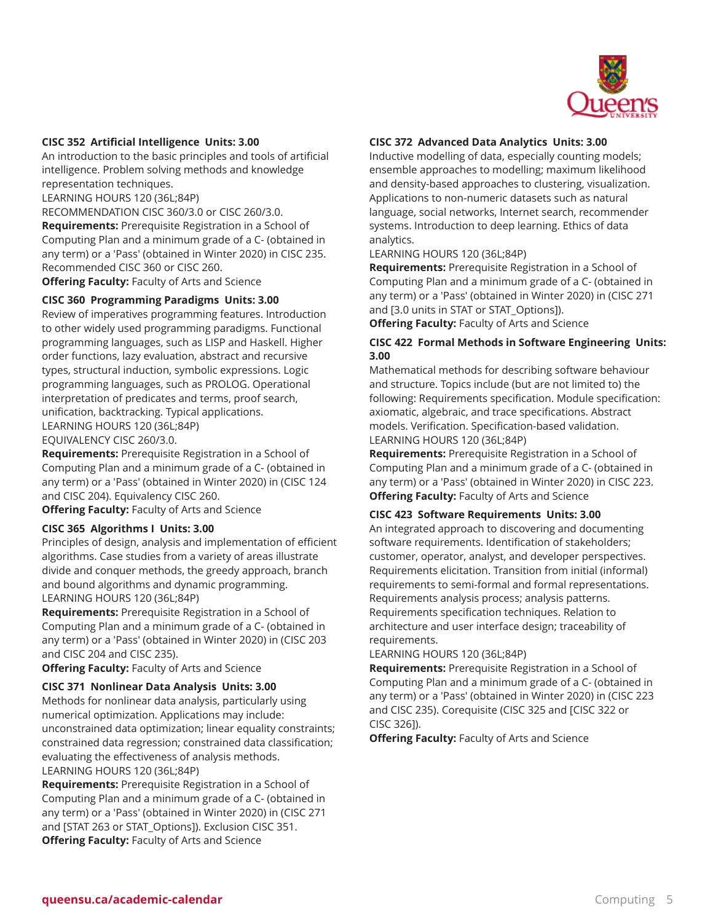

#### **CISC 352 Artificial Intelligence Units: 3.00**

An introduction to the basic principles and tools of artificial intelligence. Problem solving methods and knowledge representation techniques.

LEARNING HOURS 120 (36L;84P)

RECOMMENDATION CISC 360/3.0 or CISC 260/3.0.

**Requirements:** Prerequisite Registration in a School of Computing Plan and a minimum grade of a C- (obtained in any term) or a 'Pass' (obtained in Winter 2020) in CISC 235. Recommended CISC 360 or CISC 260.

**Offering Faculty:** Faculty of Arts and Science

## **CISC 360 Programming Paradigms Units: 3.00**

Review of imperatives programming features. Introduction to other widely used programming paradigms. Functional programming languages, such as LISP and Haskell. Higher order functions, lazy evaluation, abstract and recursive types, structural induction, symbolic expressions. Logic programming languages, such as PROLOG. Operational interpretation of predicates and terms, proof search, unification, backtracking. Typical applications. LEARNING HOURS 120 (36L;84P) EQUIVALENCY CISC 260/3.0.

**Requirements:** Prerequisite Registration in a School of Computing Plan and a minimum grade of a C- (obtained in any term) or a 'Pass' (obtained in Winter 2020) in (CISC 124 and CISC 204). Equivalency CISC 260.

**Offering Faculty:** Faculty of Arts and Science

#### **CISC 365 Algorithms I Units: 3.00**

Principles of design, analysis and implementation of efficient algorithms. Case studies from a variety of areas illustrate divide and conquer methods, the greedy approach, branch and bound algorithms and dynamic programming. LEARNING HOURS 120 (36L;84P)

**Requirements:** Prerequisite Registration in a School of Computing Plan and a minimum grade of a C- (obtained in any term) or a 'Pass' (obtained in Winter 2020) in (CISC 203 and CISC 204 and CISC 235).

**Offering Faculty:** Faculty of Arts and Science

#### **CISC 371 Nonlinear Data Analysis Units: 3.00**

Methods for nonlinear data analysis, particularly using numerical optimization. Applications may include: unconstrained data optimization; linear equality constraints; constrained data regression; constrained data classification; evaluating the effectiveness of analysis methods. LEARNING HOURS 120 (36L;84P)

**Requirements:** Prerequisite Registration in a School of Computing Plan and a minimum grade of a C- (obtained in any term) or a 'Pass' (obtained in Winter 2020) in (CISC 271 and [STAT 263 or STAT\_Options]). Exclusion CISC 351. **Offering Faculty:** Faculty of Arts and Science

#### **CISC 372 Advanced Data Analytics Units: 3.00**

Inductive modelling of data, especially counting models; ensemble approaches to modelling; maximum likelihood and density-based approaches to clustering, visualization. Applications to non-numeric datasets such as natural language, social networks, Internet search, recommender systems. Introduction to deep learning. Ethics of data analytics.

#### LEARNING HOURS 120 (36L;84P)

**Requirements:** Prerequisite Registration in a School of Computing Plan and a minimum grade of a C- (obtained in any term) or a 'Pass' (obtained in Winter 2020) in (CISC 271 and [3.0 units in STAT or STAT Options]).

**Offering Faculty:** Faculty of Arts and Science

## **CISC 422 Formal Methods in Software Engineering Units: 3.00**

Mathematical methods for describing software behaviour and structure. Topics include (but are not limited to) the following: Requirements specification. Module specification: axiomatic, algebraic, and trace specifications. Abstract models. Verification. Specification-based validation. LEARNING HOURS 120 (36L;84P)

**Requirements:** Prerequisite Registration in a School of Computing Plan and a minimum grade of a C- (obtained in any term) or a 'Pass' (obtained in Winter 2020) in CISC 223. **Offering Faculty:** Faculty of Arts and Science

#### **CISC 423 Software Requirements Units: 3.00**

An integrated approach to discovering and documenting software requirements. Identification of stakeholders; customer, operator, analyst, and developer perspectives. Requirements elicitation. Transition from initial (informal) requirements to semi-formal and formal representations. Requirements analysis process; analysis patterns. Requirements specification techniques. Relation to architecture and user interface design; traceability of requirements.

LEARNING HOURS 120 (36L;84P)

**Requirements:** Prerequisite Registration in a School of Computing Plan and a minimum grade of a C- (obtained in any term) or a 'Pass' (obtained in Winter 2020) in (CISC 223 and CISC 235). Corequisite (CISC 325 and [CISC 322 or CISC 326]).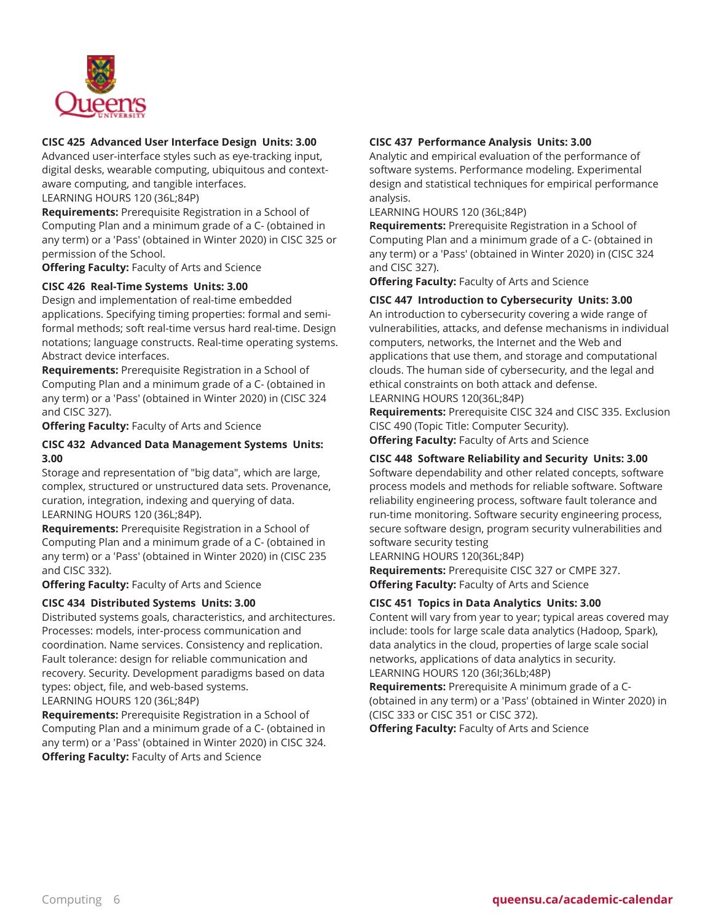

## **CISC 425 Advanced User Interface Design Units: 3.00**

Advanced user-interface styles such as eye-tracking input, digital desks, wearable computing, ubiquitous and contextaware computing, and tangible interfaces.

LEARNING HOURS 120 (36L;84P)

**Requirements:** Prerequisite Registration in a School of Computing Plan and a minimum grade of a C- (obtained in any term) or a 'Pass' (obtained in Winter 2020) in CISC 325 or permission of the School.

**Offering Faculty:** Faculty of Arts and Science

#### **CISC 426 Real-Time Systems Units: 3.00**

Design and implementation of real-time embedded applications. Specifying timing properties: formal and semiformal methods; soft real-time versus hard real-time. Design notations; language constructs. Real-time operating systems. Abstract device interfaces.

**Requirements:** Prerequisite Registration in a School of Computing Plan and a minimum grade of a C- (obtained in any term) or a 'Pass' (obtained in Winter 2020) in (CISC 324 and CISC 327).

**Offering Faculty:** Faculty of Arts and Science

## **CISC 432 Advanced Data Management Systems Units: 3.00**

Storage and representation of "big data", which are large, complex, structured or unstructured data sets. Provenance, curation, integration, indexing and querying of data. LEARNING HOURS 120 (36L;84P).

**Requirements:** Prerequisite Registration in a School of Computing Plan and a minimum grade of a C- (obtained in any term) or a 'Pass' (obtained in Winter 2020) in (CISC 235 and CISC 332).

**Offering Faculty:** Faculty of Arts and Science

#### **CISC 434 Distributed Systems Units: 3.00**

Distributed systems goals, characteristics, and architectures. Processes: models, inter-process communication and coordination. Name services. Consistency and replication. Fault tolerance: design for reliable communication and recovery. Security. Development paradigms based on data types: object, file, and web-based systems. LEARNING HOURS 120 (36L;84P)

**Requirements:** Prerequisite Registration in a School of Computing Plan and a minimum grade of a C- (obtained in any term) or a 'Pass' (obtained in Winter 2020) in CISC 324. **Offering Faculty:** Faculty of Arts and Science

## **CISC 437 Performance Analysis Units: 3.00**

Analytic and empirical evaluation of the performance of software systems. Performance modeling. Experimental design and statistical techniques for empirical performance analysis.

LEARNING HOURS 120 (36L;84P)

**Requirements:** Prerequisite Registration in a School of Computing Plan and a minimum grade of a C- (obtained in any term) or a 'Pass' (obtained in Winter 2020) in (CISC 324 and CISC 327).

**Offering Faculty:** Faculty of Arts and Science

#### **CISC 447 Introduction to Cybersecurity Units: 3.00**

An introduction to cybersecurity covering a wide range of vulnerabilities, attacks, and defense mechanisms in individual computers, networks, the Internet and the Web and applications that use them, and storage and computational clouds. The human side of cybersecurity, and the legal and ethical constraints on both attack and defense. LEARNING HOURS 120(36L;84P)

**Requirements:** Prerequisite CISC 324 and CISC 335. Exclusion CISC 490 (Topic Title: Computer Security).

**Offering Faculty:** Faculty of Arts and Science

#### **CISC 448 Software Reliability and Security Units: 3.00**

Software dependability and other related concepts, software process models and methods for reliable software. Software reliability engineering process, software fault tolerance and run-time monitoring. Software security engineering process, secure software design, program security vulnerabilities and software security testing

LEARNING HOURS 120(36L;84P)

**Requirements:** Prerequisite CISC 327 or CMPE 327. **Offering Faculty:** Faculty of Arts and Science

#### **CISC 451 Topics in Data Analytics Units: 3.00**

Content will vary from year to year; typical areas covered may include: tools for large scale data analytics (Hadoop, Spark), data analytics in the cloud, properties of large scale social networks, applications of data analytics in security. LEARNING HOURS 120 (36I;36Lb;48P)

**Requirements:** Prerequisite A minimum grade of a C- (obtained in any term) or a 'Pass' (obtained in Winter 2020) in (CISC 333 or CISC 351 or CISC 372).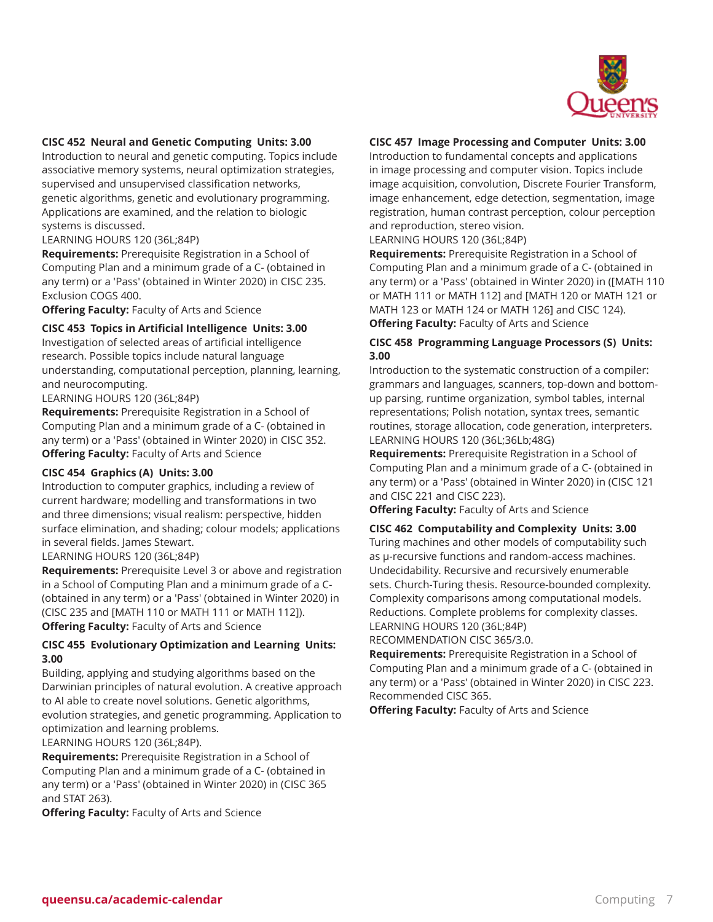

#### **CISC 452 Neural and Genetic Computing Units: 3.00**

Introduction to neural and genetic computing. Topics include associative memory systems, neural optimization strategies, supervised and unsupervised classification networks, genetic algorithms, genetic and evolutionary programming. Applications are examined, and the relation to biologic systems is discussed.

LEARNING HOURS 120 (36L;84P)

**Requirements:** Prerequisite Registration in a School of Computing Plan and a minimum grade of a C- (obtained in any term) or a 'Pass' (obtained in Winter 2020) in CISC 235. Exclusion COGS 400.

**Offering Faculty:** Faculty of Arts and Science

**CISC 453 Topics in Artificial Intelligence Units: 3.00**

Investigation of selected areas of artificial intelligence research. Possible topics include natural language understanding, computational perception, planning, learning, and neurocomputing.

LEARNING HOURS 120 (36L;84P)

**Requirements:** Prerequisite Registration in a School of Computing Plan and a minimum grade of a C- (obtained in any term) or a 'Pass' (obtained in Winter 2020) in CISC 352. **Offering Faculty:** Faculty of Arts and Science

#### **CISC 454 Graphics (A) Units: 3.00**

Introduction to computer graphics, including a review of current hardware; modelling and transformations in two and three dimensions; visual realism: perspective, hidden surface elimination, and shading; colour models; applications in several fields. James Stewart.

#### LEARNING HOURS 120 (36L;84P)

**Requirements:** Prerequisite Level 3 or above and registration in a School of Computing Plan and a minimum grade of a C- (obtained in any term) or a 'Pass' (obtained in Winter 2020) in (CISC 235 and [MATH 110 or MATH 111 or MATH 112]). **Offering Faculty:** Faculty of Arts and Science

## **CISC 455 Evolutionary Optimization and Learning Units: 3.00**

Building, applying and studying algorithms based on the Darwinian principles of natural evolution. A creative approach to AI able to create novel solutions. Genetic algorithms, evolution strategies, and genetic programming. Application to optimization and learning problems.

LEARNING HOURS 120 (36L;84P).

**Requirements:** Prerequisite Registration in a School of Computing Plan and a minimum grade of a C- (obtained in any term) or a 'Pass' (obtained in Winter 2020) in (CISC 365 and STAT 263).

**Offering Faculty:** Faculty of Arts and Science

#### **CISC 457 Image Processing and Computer Units: 3.00**

Introduction to fundamental concepts and applications in image processing and computer vision. Topics include image acquisition, convolution, Discrete Fourier Transform, image enhancement, edge detection, segmentation, image registration, human contrast perception, colour perception and reproduction, stereo vision.

LEARNING HOURS 120 (36L;84P)

**Requirements:** Prerequisite Registration in a School of Computing Plan and a minimum grade of a C- (obtained in any term) or a 'Pass' (obtained in Winter 2020) in ([MATH 110 or MATH 111 or MATH 112] and [MATH 120 or MATH 121 or MATH 123 or MATH 124 or MATH 126] and CISC 124). **Offering Faculty:** Faculty of Arts and Science

## **CISC 458 Programming Language Processors (S) Units: 3.00**

Introduction to the systematic construction of a compiler: grammars and languages, scanners, top-down and bottomup parsing, runtime organization, symbol tables, internal representations; Polish notation, syntax trees, semantic routines, storage allocation, code generation, interpreters. LEARNING HOURS 120 (36L;36Lb;48G)

**Requirements:** Prerequisite Registration in a School of Computing Plan and a minimum grade of a C- (obtained in any term) or a 'Pass' (obtained in Winter 2020) in (CISC 121 and CISC 221 and CISC 223).

**Offering Faculty:** Faculty of Arts and Science

#### **CISC 462 Computability and Complexity Units: 3.00**

Turing machines and other models of computability such as µ-recursive functions and random-access machines. Undecidability. Recursive and recursively enumerable sets. Church-Turing thesis. Resource-bounded complexity. Complexity comparisons among computational models. Reductions. Complete problems for complexity classes. LEARNING HOURS 120 (36L;84P)

RECOMMENDATION CISC 365/3.0.

**Requirements:** Prerequisite Registration in a School of Computing Plan and a minimum grade of a C- (obtained in any term) or a 'Pass' (obtained in Winter 2020) in CISC 223. Recommended CISC 365.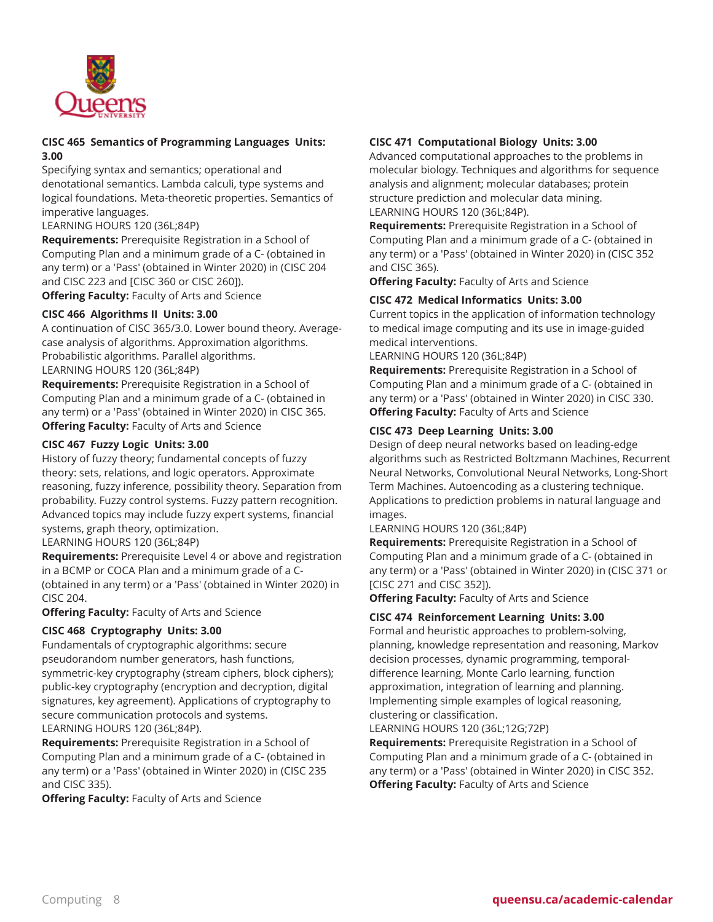

## **CISC 465 Semantics of Programming Languages Units: 3.00**

Specifying syntax and semantics; operational and denotational semantics. Lambda calculi, type systems and logical foundations. Meta-theoretic properties. Semantics of imperative languages.

LEARNING HOURS 120 (36L;84P)

**Requirements:** Prerequisite Registration in a School of Computing Plan and a minimum grade of a C- (obtained in any term) or a 'Pass' (obtained in Winter 2020) in (CISC 204 and CISC 223 and [CISC 360 or CISC 260]).

**Offering Faculty:** Faculty of Arts and Science

## **CISC 466 Algorithms II Units: 3.00**

A continuation of CISC 365/3.0. Lower bound theory. Averagecase analysis of algorithms. Approximation algorithms. Probabilistic algorithms. Parallel algorithms. LEARNING HOURS 120 (36L;84P)

**Requirements:** Prerequisite Registration in a School of Computing Plan and a minimum grade of a C- (obtained in any term) or a 'Pass' (obtained in Winter 2020) in CISC 365. **Offering Faculty:** Faculty of Arts and Science

## **CISC 467 Fuzzy Logic Units: 3.00**

History of fuzzy theory; fundamental concepts of fuzzy theory: sets, relations, and logic operators. Approximate reasoning, fuzzy inference, possibility theory. Separation from probability. Fuzzy control systems. Fuzzy pattern recognition. Advanced topics may include fuzzy expert systems, financial systems, graph theory, optimization.

LEARNING HOURS 120 (36L;84P)

**Requirements:** Prerequisite Level 4 or above and registration in a BCMP or COCA Plan and a minimum grade of a C- (obtained in any term) or a 'Pass' (obtained in Winter 2020) in CISC 204.

**Offering Faculty:** Faculty of Arts and Science

#### **CISC 468 Cryptography Units: 3.00**

Fundamentals of cryptographic algorithms: secure pseudorandom number generators, hash functions, symmetric-key cryptography (stream ciphers, block ciphers); public-key cryptography (encryption and decryption, digital signatures, key agreement). Applications of cryptography to secure communication protocols and systems. LEARNING HOURS 120 (36L;84P).

**Requirements:** Prerequisite Registration in a School of Computing Plan and a minimum grade of a C- (obtained in any term) or a 'Pass' (obtained in Winter 2020) in (CISC 235 and CISC 335).

**Offering Faculty:** Faculty of Arts and Science

## **CISC 471 Computational Biology Units: 3.00**

Advanced computational approaches to the problems in molecular biology. Techniques and algorithms for sequence analysis and alignment; molecular databases; protein structure prediction and molecular data mining. LEARNING HOURS 120 (36L;84P).

**Requirements:** Prerequisite Registration in a School of Computing Plan and a minimum grade of a C- (obtained in any term) or a 'Pass' (obtained in Winter 2020) in (CISC 352 and CISC 365).

**Offering Faculty:** Faculty of Arts and Science

## **CISC 472 Medical Informatics Units: 3.00**

Current topics in the application of information technology to medical image computing and its use in image-guided medical interventions.

LEARNING HOURS 120 (36L;84P)

**Requirements:** Prerequisite Registration in a School of Computing Plan and a minimum grade of a C- (obtained in any term) or a 'Pass' (obtained in Winter 2020) in CISC 330. **Offering Faculty:** Faculty of Arts and Science

## **CISC 473 Deep Learning Units: 3.00**

Design of deep neural networks based on leading-edge algorithms such as Restricted Boltzmann Machines, Recurrent Neural Networks, Convolutional Neural Networks, Long-Short Term Machines. Autoencoding as a clustering technique. Applications to prediction problems in natural language and images.

LEARNING HOURS 120 (36L;84P)

**Requirements:** Prerequisite Registration in a School of Computing Plan and a minimum grade of a C- (obtained in any term) or a 'Pass' (obtained in Winter 2020) in (CISC 371 or [CISC 271 and CISC 352]).

**Offering Faculty:** Faculty of Arts and Science

#### **CISC 474 Reinforcement Learning Units: 3.00**

Formal and heuristic approaches to problem-solving, planning, knowledge representation and reasoning, Markov decision processes, dynamic programming, temporaldifference learning, Monte Carlo learning, function approximation, integration of learning and planning. Implementing simple examples of logical reasoning, clustering or classification.

LEARNING HOURS 120 (36L;12G;72P)

**Requirements:** Prerequisite Registration in a School of Computing Plan and a minimum grade of a C- (obtained in any term) or a 'Pass' (obtained in Winter 2020) in CISC 352. **Offering Faculty:** Faculty of Arts and Science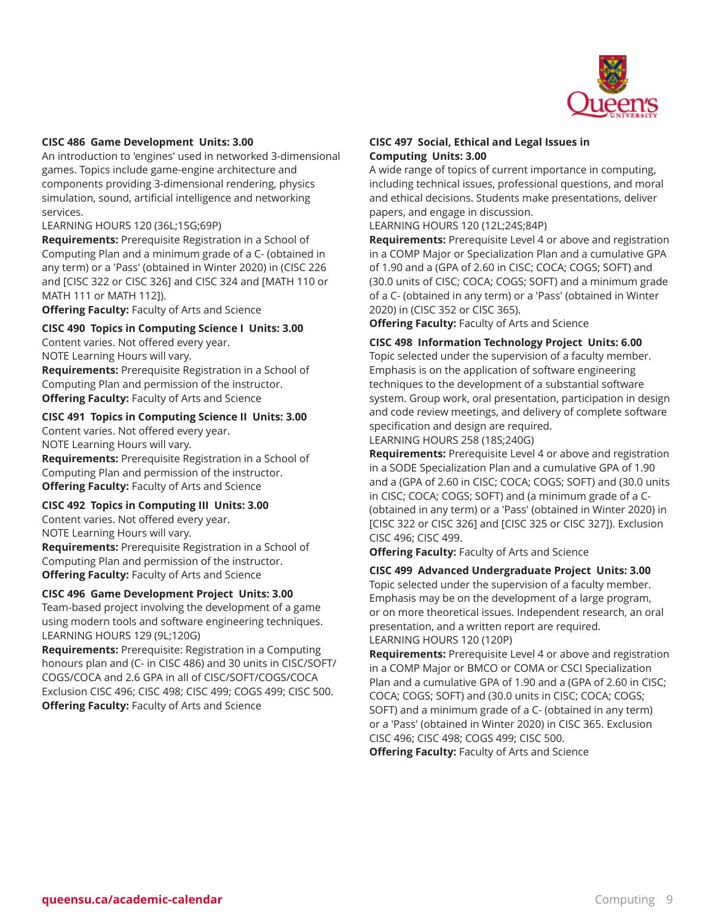

#### **CISC 486 Game Development Units: 3.00**

An introduction to 'engines' used in networked 3-dimensional games. Topics include game-engine architecture and components providing 3-dimensional rendering, physics simulation, sound, artificial intelligence and networking services.

#### LEARNING HOURS 120 (36L;15G;69P)

**Requirements:** Prerequisite Registration in a School of Computing Plan and a minimum grade of a C- (obtained in any term) or a 'Pass' (obtained in Winter 2020) in (CISC 226 and [CISC 322 or CISC 326] and CISC 324 and [MATH 110 or MATH 111 or MATH 112]).

**Offering Faculty:** Faculty of Arts and Science

#### **CISC 490 Topics in Computing Science I Units: 3.00**

Content varies. Not offered every year. NOTE Learning Hours will vary.

**Requirements:** Prerequisite Registration in a School of Computing Plan and permission of the instructor. **Offering Faculty:** Faculty of Arts and Science

#### **CISC 491 Topics in Computing Science II Units: 3.00**

Content varies. Not offered every year. NOTE Learning Hours will vary.

**Requirements:** Prerequisite Registration in a School of Computing Plan and permission of the instructor. **Offering Faculty:** Faculty of Arts and Science

#### **CISC 492 Topics in Computing III Units: 3.00**

Content varies. Not offered every year. NOTE Learning Hours will vary.

**Requirements:** Prerequisite Registration in a School of Computing Plan and permission of the instructor. **Offering Faculty:** Faculty of Arts and Science

#### **CISC 496 Game Development Project Units: 3.00**

Team-based project involving the development of a game using modern tools and software engineering techniques. LEARNING HOURS 129 (9L;120G)

**Requirements:** Prerequisite: Registration in a Computing honours plan and (C- in CISC 486) and 30 units in CISC/SOFT/ COGS/COCA and 2.6 GPA in all of CISC/SOFT/COGS/COCA Exclusion CISC 496; CISC 498; CISC 499; COGS 499; CISC 500. **Offering Faculty:** Faculty of Arts and Science

#### **CISC 497 Social, Ethical and Legal Issues in Computing Units: 3.00**

A wide range of topics of current importance in computing, including technical issues, professional questions, and moral and ethical decisions. Students make presentations, deliver papers, and engage in discussion.

LEARNING HOURS 120 (12L;24S;84P)

**Requirements:** Prerequisite Level 4 or above and registration in a COMP Major or Specialization Plan and a cumulative GPA of 1.90 and a (GPA of 2.60 in CISC; COCA; COGS; SOFT) and (30.0 units of CISC; COCA; COGS; SOFT) and a minimum grade of a C- (obtained in any term) or a 'Pass' (obtained in Winter 2020) in (CISC 352 or CISC 365).

**Offering Faculty:** Faculty of Arts and Science

#### **CISC 498 Information Technology Project Units: 6.00**

Topic selected under the supervision of a faculty member. Emphasis is on the application of software engineering techniques to the development of a substantial software system. Group work, oral presentation, participation in design and code review meetings, and delivery of complete software specification and design are required.

LEARNING HOURS 258 (18S;240G)

**Requirements:** Prerequisite Level 4 or above and registration in a SODE Specialization Plan and a cumulative GPA of 1.90 and a (GPA of 2.60 in CISC; COCA; COGS; SOFT) and (30.0 units in CISC; COCA; COGS; SOFT) and (a minimum grade of a C- (obtained in any term) or a 'Pass' (obtained in Winter 2020) in [CISC 322 or CISC 326] and [CISC 325 or CISC 327]). Exclusion CISC 496; CISC 499.

**Offering Faculty:** Faculty of Arts and Science

#### **CISC 499 Advanced Undergraduate Project Units: 3.00**

Topic selected under the supervision of a faculty member. Emphasis may be on the development of a large program, or on more theoretical issues. Independent research, an oral presentation, and a written report are required. LEARNING HOURS 120 (120P)

**Requirements:** Prerequisite Level 4 or above and registration in a COMP Major or BMCO or COMA or CSCI Specialization Plan and a cumulative GPA of 1.90 and a (GPA of 2.60 in CISC; COCA; COGS; SOFT) and (30.0 units in CISC; COCA; COGS; SOFT) and a minimum grade of a C- (obtained in any term) or a 'Pass' (obtained in Winter 2020) in CISC 365. Exclusion CISC 496; CISC 498; COGS 499; CISC 500.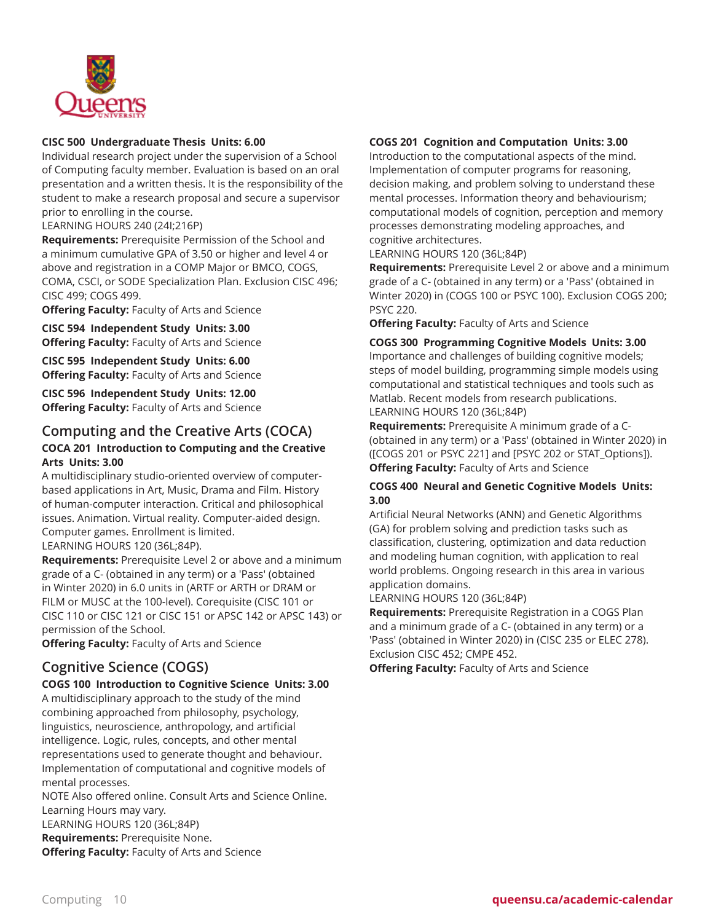

## **CISC 500 Undergraduate Thesis Units: 6.00**

Individual research project under the supervision of a School of Computing faculty member. Evaluation is based on an oral presentation and a written thesis. It is the responsibility of the student to make a research proposal and secure a supervisor prior to enrolling in the course.

LEARNING HOURS 240 (24I;216P)

**Requirements:** Prerequisite Permission of the School and a minimum cumulative GPA of 3.50 or higher and level 4 or above and registration in a COMP Major or BMCO, COGS, COMA, CSCI, or SODE Specialization Plan. Exclusion CISC 496; CISC 499; COGS 499.

**Offering Faculty:** Faculty of Arts and Science

**CISC 594 Independent Study Units: 3.00 Offering Faculty:** Faculty of Arts and Science

**CISC 595 Independent Study Units: 6.00 Offering Faculty:** Faculty of Arts and Science

**CISC 596 Independent Study Units: 12.00 Offering Faculty:** Faculty of Arts and Science

# **Computing and the Creative Arts (COCA)**

## **COCA 201 Introduction to Computing and the Creative Arts Units: 3.00**

A multidisciplinary studio-oriented overview of computerbased applications in Art, Music, Drama and Film. History of human-computer interaction. Critical and philosophical issues. Animation. Virtual reality. Computer-aided design. Computer games. Enrollment is limited. LEARNING HOURS 120 (36L;84P).

**Requirements:** Prerequisite Level 2 or above and a minimum grade of a C- (obtained in any term) or a 'Pass' (obtained in Winter 2020) in 6.0 units in (ARTF or ARTH or DRAM or FILM or MUSC at the 100-level). Corequisite (CISC 101 or CISC 110 or CISC 121 or CISC 151 or APSC 142 or APSC 143) or permission of the School.

**Offering Faculty:** Faculty of Arts and Science

# **Cognitive Science (COGS)**

#### **COGS 100 Introduction to Cognitive Science Units: 3.00**

A multidisciplinary approach to the study of the mind combining approached from philosophy, psychology, linguistics, neuroscience, anthropology, and artificial intelligence. Logic, rules, concepts, and other mental representations used to generate thought and behaviour. Implementation of computational and cognitive models of mental processes.

NOTE Also offered online. Consult Arts and Science Online. Learning Hours may vary.

LEARNING HOURS 120 (36L;84P)

**Requirements:** Prerequisite None.

**Offering Faculty:** Faculty of Arts and Science

## **COGS 201 Cognition and Computation Units: 3.00**

Introduction to the computational aspects of the mind. Implementation of computer programs for reasoning, decision making, and problem solving to understand these mental processes. Information theory and behaviourism; computational models of cognition, perception and memory processes demonstrating modeling approaches, and cognitive architectures.

LEARNING HOURS 120 (36L;84P)

**Requirements:** Prerequisite Level 2 or above and a minimum grade of a C- (obtained in any term) or a 'Pass' (obtained in Winter 2020) in (COGS 100 or PSYC 100). Exclusion COGS 200; PSYC 220.

**Offering Faculty:** Faculty of Arts and Science

**COGS 300 Programming Cognitive Models Units: 3.00** Importance and challenges of building cognitive models; steps of model building, programming simple models using computational and statistical techniques and tools such as Matlab. Recent models from research publications. LEARNING HOURS 120 (36L;84P)

**Requirements:** Prerequisite A minimum grade of a C- (obtained in any term) or a 'Pass' (obtained in Winter 2020) in ([COGS 201 or PSYC 221] and [PSYC 202 or STAT\_Options]). **Offering Faculty:** Faculty of Arts and Science

## **COGS 400 Neural and Genetic Cognitive Models Units: 3.00**

Artificial Neural Networks (ANN) and Genetic Algorithms (GA) for problem solving and prediction tasks such as classification, clustering, optimization and data reduction and modeling human cognition, with application to real world problems. Ongoing research in this area in various application domains.

LEARNING HOURS 120 (36L;84P)

**Requirements:** Prerequisite Registration in a COGS Plan and a minimum grade of a C- (obtained in any term) or a 'Pass' (obtained in Winter 2020) in (CISC 235 or ELEC 278). Exclusion CISC 452; CMPE 452.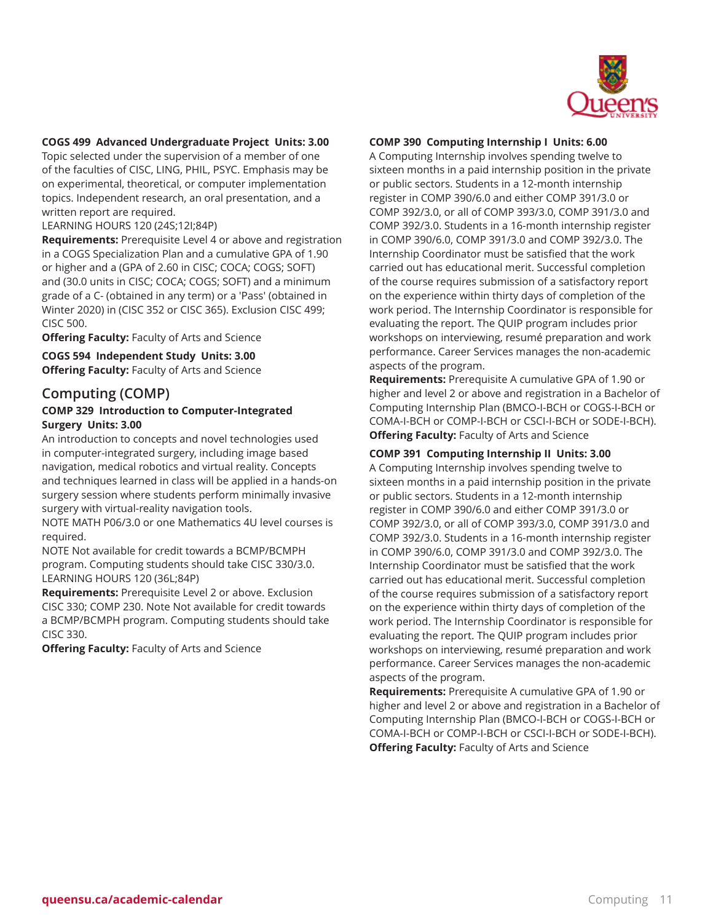

#### **COGS 499 Advanced Undergraduate Project Units: 3.00**

Topic selected under the supervision of a member of one of the faculties of CISC, LING, PHIL, PSYC. Emphasis may be on experimental, theoretical, or computer implementation topics. Independent research, an oral presentation, and a written report are required.

LEARNING HOURS 120 (24S;12I;84P)

**Requirements:** Prerequisite Level 4 or above and registration in a COGS Specialization Plan and a cumulative GPA of 1.90 or higher and a (GPA of 2.60 in CISC; COCA; COGS; SOFT) and (30.0 units in CISC; COCA; COGS; SOFT) and a minimum grade of a C- (obtained in any term) or a 'Pass' (obtained in Winter 2020) in (CISC 352 or CISC 365). Exclusion CISC 499; CISC 500.

**Offering Faculty:** Faculty of Arts and Science

**COGS 594 Independent Study Units: 3.00 Offering Faculty:** Faculty of Arts and Science

## **Computing (COMP)**

#### **COMP 329 Introduction to Computer-Integrated Surgery Units: 3.00**

An introduction to concepts and novel technologies used in computer-integrated surgery, including image based navigation, medical robotics and virtual reality. Concepts and techniques learned in class will be applied in a hands-on surgery session where students perform minimally invasive surgery with virtual-reality navigation tools.

NOTE MATH P06/3.0 or one Mathematics 4U level courses is required.

NOTE Not available for credit towards a BCMP/BCMPH program. Computing students should take CISC 330/3.0. LEARNING HOURS 120 (36L;84P)

**Requirements:** Prerequisite Level 2 or above. Exclusion CISC 330; COMP 230. Note Not available for credit towards a BCMP/BCMPH program. Computing students should take CISC 330.

**Offering Faculty:** Faculty of Arts and Science

#### **COMP 390 Computing Internship I Units: 6.00**

A Computing Internship involves spending twelve to sixteen months in a paid internship position in the private or public sectors. Students in a 12-month internship register in COMP 390/6.0 and either COMP 391/3.0 or COMP 392/3.0, or all of COMP 393/3.0, COMP 391/3.0 and COMP 392/3.0. Students in a 16-month internship register in COMP 390/6.0, COMP 391/3.0 and COMP 392/3.0. The Internship Coordinator must be satisfied that the work carried out has educational merit. Successful completion of the course requires submission of a satisfactory report on the experience within thirty days of completion of the work period. The Internship Coordinator is responsible for evaluating the report. The QUIP program includes prior workshops on interviewing, resumé preparation and work performance. Career Services manages the non-academic aspects of the program.

**Requirements:** Prerequisite A cumulative GPA of 1.90 or higher and level 2 or above and registration in a Bachelor of Computing Internship Plan (BMCO-I-BCH or COGS-I-BCH or COMA-I-BCH or COMP-I-BCH or CSCI-I-BCH or SODE-I-BCH). **Offering Faculty:** Faculty of Arts and Science

#### **COMP 391 Computing Internship II Units: 3.00**

A Computing Internship involves spending twelve to sixteen months in a paid internship position in the private or public sectors. Students in a 12-month internship register in COMP 390/6.0 and either COMP 391/3.0 or COMP 392/3.0, or all of COMP 393/3.0, COMP 391/3.0 and COMP 392/3.0. Students in a 16-month internship register in COMP 390/6.0, COMP 391/3.0 and COMP 392/3.0. The Internship Coordinator must be satisfied that the work carried out has educational merit. Successful completion of the course requires submission of a satisfactory report on the experience within thirty days of completion of the work period. The Internship Coordinator is responsible for evaluating the report. The QUIP program includes prior workshops on interviewing, resumé preparation and work performance. Career Services manages the non-academic aspects of the program.

**Requirements:** Prerequisite A cumulative GPA of 1.90 or higher and level 2 or above and registration in a Bachelor of Computing Internship Plan (BMCO-I-BCH or COGS-I-BCH or COMA-I-BCH or COMP-I-BCH or CSCI-I-BCH or SODE-I-BCH). **Offering Faculty:** Faculty of Arts and Science